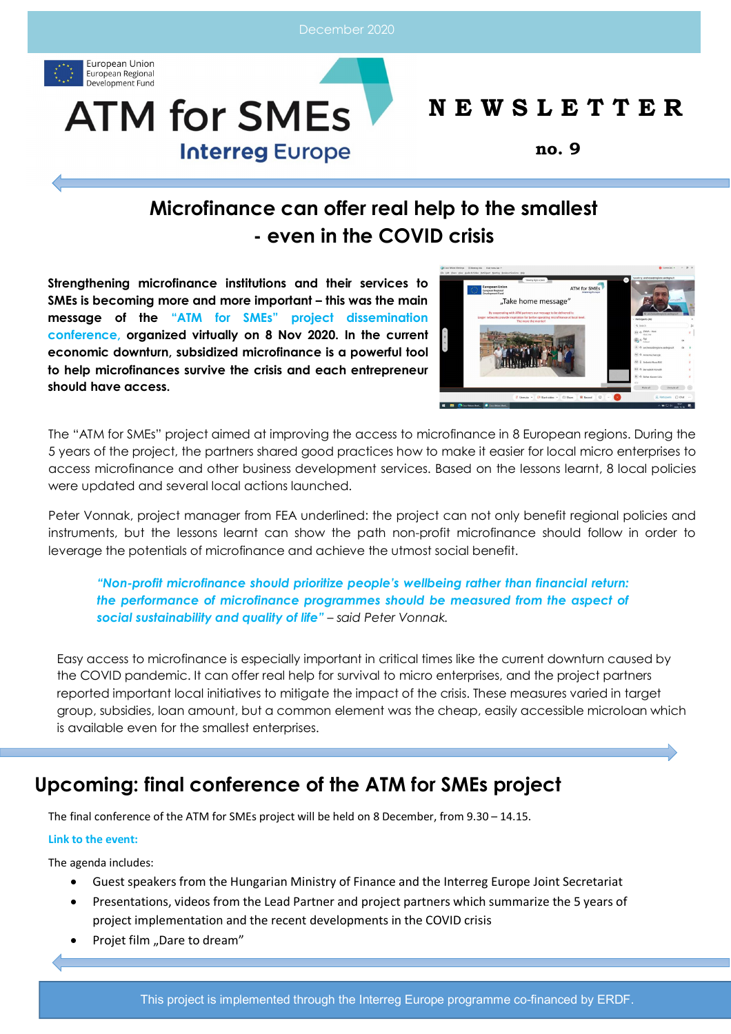December 2020





# **N E W S L E T T E R**

**no. 9**

# **Microfinance can offer real help to the smallest - even in the COVID crisis**

**Strengthening microfinance institutions and their services to SMEs is becoming more and more important – this was the main message of the "ATM for SMEs" project dissemination conference, organized virtually on 8 Nov 2020. In the current economic downturn, subsidized microfinance is a powerful tool to help microfinances survive the crisis and each entrepreneur should have access.** 



The "ATM for SMEs" project aimed at improving the access to microfinance in 8 European regions. During the 5 years of the project, the partners shared good practices how to make it easier for local micro enterprises to access microfinance and other business development services. Based on the lessons learnt, 8 local policies were updated and several local actions launched.

Peter Vonnak, project manager from FEA underlined: the project can not only benefit regional policies and instruments, but the lessons learnt can show the path non-profit microfinance should follow in order to leverage the potentials of microfinance and achieve the utmost social benefit.

*"Non-profit microfinance should prioritize people's wellbeing rather than financial return: the performance of microfinance programmes should be measured from the aspect of social sustainability and quality of life" – said Peter Vonnak.*

Easy access to microfinance is especially important in critical times like the current downturn caused by the COVID pandemic. It can offer real help for survival to micro enterprises, and the project partners reported important local initiatives to mitigate the impact of the crisis. These measures varied in target group, subsidies, loan amount, but a common element was the cheap, easily accessible microloan which is available even for the smallest enterprises.

# **Upcoming: final conference of the ATM for SMEs project**

The final conference of the ATM for SMEs project will be held on 8 December, from 9.30 – 14.15.

## **Link to the event:**

The agenda includes:

- Guest speakers from the Hungarian Ministry of Finance and the Interreg Europe Joint Secretariat
- Presentations, videos from the Lead Partner and project partners which summarize the 5 years of project implementation and the recent developments in the COVID crisis
- Projet film "Dare to dream"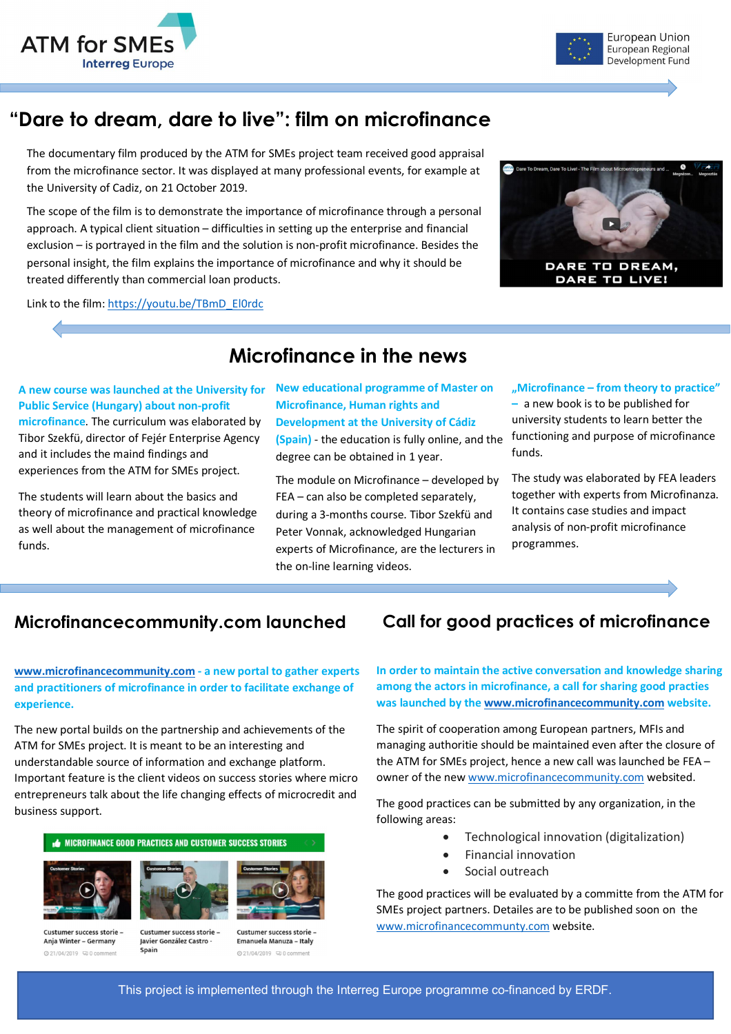



# **"Dare to dream, dare to live": film on microfinance**

The documentary film produced by the ATM for SMEs project team received good appraisal from the microfinance sector. It was displayed at many professional events, for example at the University of Cadiz, on 21 October 2019.

The scope of the film is to demonstrate the importance of microfinance through a personal approach. A typical client situation – difficulties in setting up the enterprise and financial exclusion – is portrayed in the film and the solution is non-profit microfinance. Besides the personal insight, the film explains the importance of microfinance and why it should be treated differently than commercial loan products.

Link to the film: https://youtu.be/TBmD\_El0rdc



# **Microfinance in the news**

## **A new course was launched at the University for Public Service (Hungary) about non-profit microfinance**. The curriculum was elaborated by Tibor Szekfü, director of Fejér Enterprise Agency and it includes the maind findings and experiences from the ATM for SMEs project.

The students will learn about the basics and theory of microfinance and practical knowledge as well about the management of microfinance funds.

## **New educational programme of Master on Microfinance, Human rights and Development at the University of Cádiz (Spain)** - the education is fully online, and the functioning and purpose of microfinance degree can be obtained in 1 year.

The module on Microfinance – developed by FEA – can also be completed separately, during a 3-months course. Tibor Szekfü and Peter Vonnak, acknowledged Hungarian experts of Microfinance, are the lecturers in the on-line learning videos.

### **"Microfinance – from theory to practice"**

**–** a new book is to be published for university students to learn better the funds.

The study was elaborated by FEA leaders together with experts from Microfinanza. It contains case studies and impact analysis of non-profit microfinance programmes.

## **Microfinancecommunity.com launched Call for good practices of microfinance**

**www.microfinancecommunity.com - a new portal to gather experts and practitioners of microfinance in order to facilitate exchange of experience.**

The new portal builds on the partnership and achievements of the ATM for SMEs project. It is meant to be an interesting and understandable source of information and exchange platform. Important feature is the client videos on success stories where micro entrepreneurs talk about the life changing effects of microcredit and business support.



Javier González Castro Spain

◎ 21/04/2019 □ 0 co

Emanuela Manuza - Italy ◎ 21/04/2019 20 0 com

**In order to maintain the active conversation and knowledge sharing among the actors in microfinance, a call for sharing good practies was launched by the www.microfinancecommunity.com website.** 

The spirit of cooperation among European partners, MFIs and managing authoritie should be maintained even after the closure of the ATM for SMEs project, hence a new call was launched be FEA – owner of the new www.microfinancecommunity.com websited.

The good practices can be submitted by any organization, in the following areas:

- Technological innovation (digitalization)
- Financial innovation
- Social outreach

The good practices will be evaluated by a committe from the ATM for SMEs project partners. Detailes are to be published soon on the www.microfinancecommunty.com website.

This project is implemented through the Interreg Europe programme co-financed by ERDF.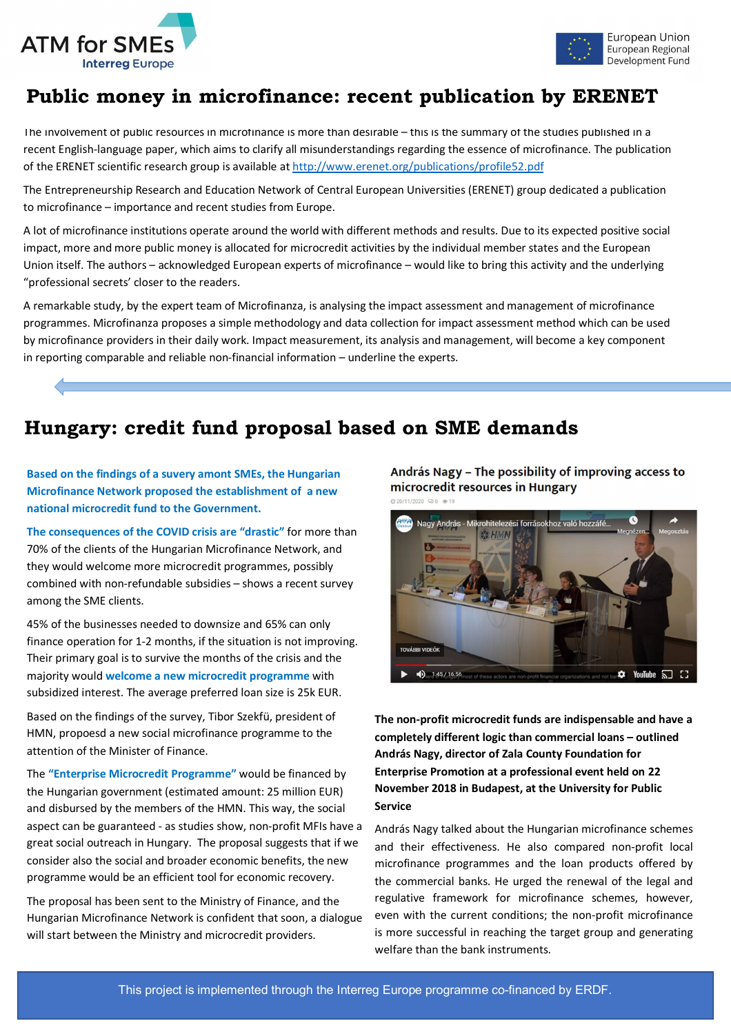



# **Public money in microfinance: recent publication by ERENET**

The involvement of public resources in microfinance is more than desirable – this is the summary of the studies published in a recent English-language paper, which aims to clarify all misunderstandings regarding the essence of microfinance. The publication of the ERENET scientific research group is available at http://www.erenet.org/publications/profile52.pdf

The Entrepreneurship Research and Education Network of Central European Universities (ERENET) group dedicated a publication to microfinance – importance and recent studies from Europe.

A lot of microfinance institutions operate around the world with different methods and results. Due to its expected positive social impact, more and more public money is allocated for microcredit activities by the individual member states and the European Union itself. The authors – acknowledged European experts of microfinance – would like to bring this activity and the underlying "professional secrets' closer to the readers.

A remarkable study, by the expert team of Microfinanza, is analysing the impact assessment and management of microfinance programmes. Microfinanza proposes a simple methodology and data collection for impact assessment method which can be used by microfinance providers in their daily work. Impact measurement, its analysis and management, will become a key component in reporting comparable and reliable non-financial information – underline the experts.

# **Hungary: credit fund proposal based on SME demands**

**Based on the findings of a suvery amont SMEs, the Hungarian Microfinance Network proposed the establishment of a new national microcredit fund to the Government.**

**The consequences of the COVID crisis are "drastic"** for more than 70% of the clients of the Hungarian Microfinance Network, and they would welcome more microcredit programmes, possibly combined with non-refundable subsidies – shows a recent survey among the SME clients.

45% of the businesses needed to downsize and 65% can only finance operation for 1-2 months, if the situation is not improving. Their primary goal is to survive the months of the crisis and the majority would **welcome a new microcredit programme** with subsidized interest. The average preferred loan size is 25k EUR.

Based on the findings of the survey, Tibor Szekfü, president of HMN, propoesd a new social microfinance programme to the attention of the Minister of Finance.

The **"Enterprise Microcredit Programme"** would be financed by the Hungarian government (estimated amount: 25 million EUR) and disbursed by the members of the HMN. This way, the social aspect can be guaranteed - as studies show, non-profit MFIs have a great social outreach in Hungary. The proposal suggests that if we consider also the social and broader economic benefits, the new programme would be an efficient tool for economic recovery.

The proposal has been sent to the Ministry of Finance, and the Hungarian Microfinance Network is confident that soon, a dialogue will start between the Ministry and microcredit providers.

András Nagy - The possibility of improving access to microcredit resources in Hungary @20/11/2020 (20.0 @ 1



**The non-profit microcredit funds are indispensable and have a completely different logic than commercial loans – outlined András Nagy, director of Zala County Foundation for Enterprise Promotion at a professional event held on 22 November 2018 in Budapest, at the University for Public Service**

András Nagy talked about the Hungarian microfinance schemes and their effectiveness. He also compared non-profit local microfinance programmes and the loan products offered by the commercial banks. He urged the renewal of the legal and regulative framework for microfinance schemes, however, even with the current conditions; the non-profit microfinance is more successful in reaching the target group and generating welfare than the bank instruments.